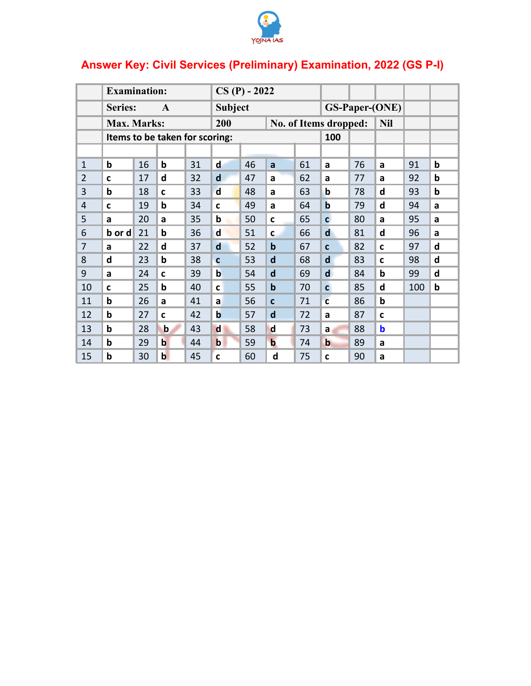

## Answer Key: Civil Services (Preliminary) Examination, 2022 (GS P-I)

|                | <b>Examination:</b>     |    |                                |    | $CS(P) - 2022$               |    |             |            |                |                       |              |     |             |
|----------------|-------------------------|----|--------------------------------|----|------------------------------|----|-------------|------------|----------------|-----------------------|--------------|-----|-------------|
|                | Series:<br>$\mathbf{A}$ |    |                                |    | <b>Subject</b>               |    |             |            |                | <b>GS-Paper-(ONE)</b> |              |     |             |
|                | Max. Marks:             |    |                                |    | 200<br>No. of Items dropped: |    |             | <b>Nil</b> |                |                       |              |     |             |
|                |                         |    | Items to be taken for scoring: |    |                              |    |             |            | 100            |                       |              |     |             |
|                |                         |    |                                |    |                              |    |             |            |                |                       |              |     |             |
| $\mathbf{1}$   | $\mathbf b$             | 16 | þ                              | 31 | d                            | 46 | a           | 61         | a              | 76                    | a            | 91  | b           |
| $\overline{2}$ | C                       | 17 | d                              | 32 | $\mathbf d$                  | 47 | a           | 62         | a              | 77                    | a            | 92  | b           |
| 3              | $\mathbf b$             | 18 | C                              | 33 | $\mathbf d$                  | 48 | a           | 63         | b              | 78                    | d            | 93  | $\mathbf b$ |
| $\overline{4}$ | C                       | 19 | þ                              | 34 | C                            | 49 | a           | 64         | $\mathbf b$    | 79                    | d            | 94  | a           |
| 5              | a                       | 20 | a                              | 35 | b                            | 50 | $\mathbf c$ | 65         | $\mathbf{C}$   | 80                    | a            | 95  | a           |
| 6              | b or d                  | 21 | þ                              | 36 | $\mathbf d$                  | 51 | $\mathbf c$ | 66         | $\mathbf d$    | 81                    | d            | 96  | a           |
| 7              | a                       | 22 | d                              | 37 | $\mathbf d$                  | 52 | $\mathbf b$ | 67         | $\mathbf{C}$   | 82                    | $\mathbf{C}$ | 97  | d           |
| 8              | d                       | 23 | b                              | 38 | $\mathbf c$                  | 53 | $\mathbf d$ | 68         | $\mathsf{d}$   | 83                    | $\mathbf c$  | 98  | d           |
| 9              | a                       | 24 | $\mathbf{C}$                   | 39 | $\mathbf b$                  | 54 | $\mathbf d$ | 69         | $\mathsf{d}$   | 84                    | b            | 99  | d           |
| 10             | $\mathbf c$             | 25 | b                              | 40 | $\mathbf c$                  | 55 | $\mathbf b$ | 70         | $\overline{c}$ | 85                    | d            | 100 | b           |
| 11             | $\mathbf b$             | 26 | a                              | 41 | a                            | 56 | $\mathbf c$ | 71         | $\overline{c}$ | 86                    | $\mathbf b$  |     |             |
| 12             | $\mathbf b$             | 27 | $\mathbf{C}$                   | 42 | $\mathbf b$                  | 57 | d           | 72         | a              | 87                    | C            |     |             |
| 13             | $\mathbf b$             | 28 | $\mathbf b$                    | 43 | $\mathbf d$                  | 58 | $\mathbf d$ | 73         | a              | 88                    | $\mathbf b$  |     |             |
| 14             | $\mathbf b$             | 29 | $\mathbf b$                    | 44 | $\mathbf b$                  | 59 | $\mathbf b$ | 74         | $\mathbf b$    | 89                    | a            |     |             |
| 15             | $\mathbf b$             | 30 | $\mathbf b$                    | 45 | $\mathbf c$                  | 60 | d           | 75         | $\mathbf c$    | 90                    | a            |     |             |